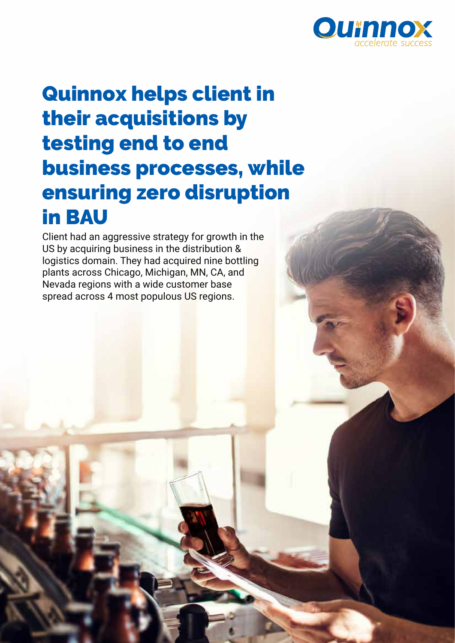

# Quinnox helps client in their acquisitions by testing end to end business processes, while ensuring zero disruption in BAU

Client had an aggressive strategy for growth in the US by acquiring business in the distribution & logistics domain. They had acquired nine bottling plants across Chicago, Michigan, MN, CA, and Nevada regions with a wide customer base spread across 4 most populous US regions.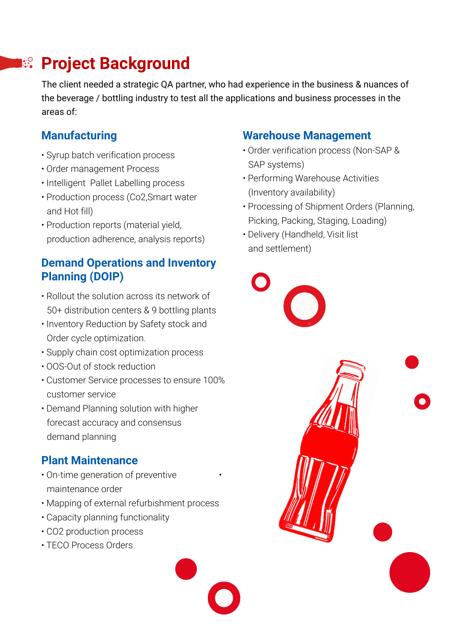## **Project Background**

The client needed a strategic QA partner, who had experience in the business & nuances of the beverage / bottling industry to test all the applications and business processes in the areas of:

#### **Manufacturing**

- Syrup batch verification process
- Order management Process
- Intelligent Pallet Labelling process
- Production process (Co2,Smart water and Hot fill)
- Production reports (material yield, production adherence, analysis reports)

#### **Demand Operations and Inventory Planning (DOIP)**

- Rollout the solution across its network of 50+ distribution centers & 9 bottling plants
- Inventory Reduction by Safety stock and Order cycle optimization.
- Supply chain cost optimization process
- OOS-Out of stock reduction
- Customer Service processes to ensure 100% customer service
- Demand Planning solution with higher forecast accuracy and consensus demand planning

#### **Plant Maintenance**

- On-time generation of preventive maintenance order
- Mapping of external refurbishment process
- Capacity planning functionality
- CO2 production process
- TECO Process Orders

#### **Warehouse Management**

- Order verification process (Non-SAP & SAP systems)
- Performing Warehouse Activities (Inventory availability)
- Processing of Shipment Orders (Planning, Picking, Packing, Staging, Loading)
- Delivery (Handheld, Visit list and settlement)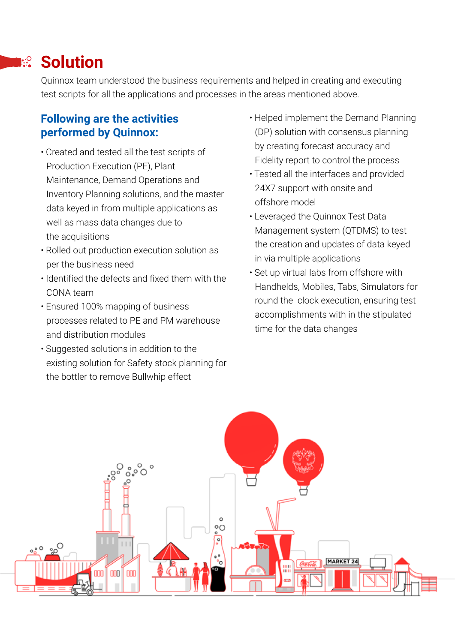### **Exagger Solution**

Quinnox team understood the business requirements and helped in creating and executing • test scripts for all the applications and processes in the areas mentioned above.

#### **Following are the activities performed by Quinnox:**

- Created and tested all the test scripts of Production Execution (PE), Plant Maintenance, Demand Operations and Inventory Planning solutions, and the master data keyed in from multiple applications as well as mass data changes due to the acquisitions
- Rolled out production execution solution as per the business need
- Identified the defects and fixed them with the CONA team
- Ensured 100% mapping of business processes related to PE and PM warehouse and distribution modules
- Suggested solutions in addition to the existing solution for Safety stock planning for the bottler to remove Bullwhip effect
- Helped implement the Demand Planning (DP) solution with consensus planning by creating forecast accuracy and Fidelity report to control the process
- Tested all the interfaces and provided 24X7 support with onsite and offshore model
- Leveraged the Quinnox Test Data Management system (QTDMS) to test the creation and updates of data keyed in via multiple applications
- Set up virtual labs from offshore with Handhelds, Mobiles, Tabs, Simulators for round the clock execution, ensuring test accomplishments with in the stipulated time for the data changes